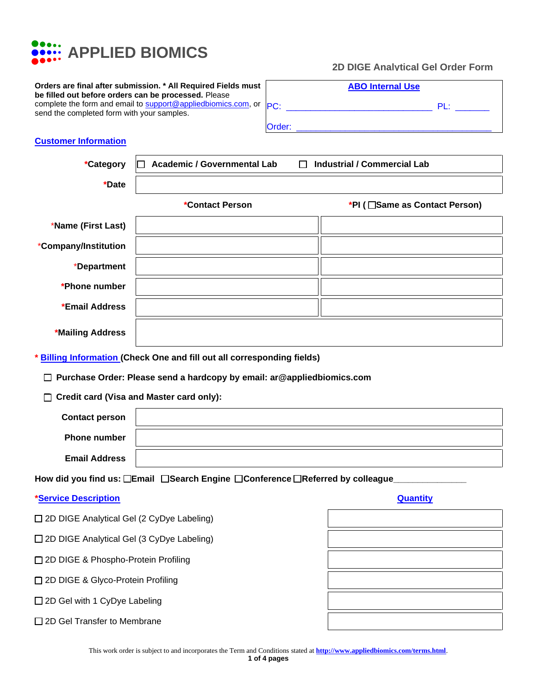

**Orders are final after submission. \* All Required Fields must be filled out before orders can be processed.** Please complete the form and email to [support@appliedbiomics.com,](mailto:support@appliedbiomics.com) or send the completed form with your samples.

| __________________ |                                          |
|--------------------|------------------------------------------|
|                    | <b>2D DIGE Analytical Gel Order Form</b> |

|        | <b>ABO Internal Use</b> |               |  |
|--------|-------------------------|---------------|--|
| PC:    |                         | $\mathsf{PI}$ |  |
| Order: |                         |               |  |

#### **Customer Information**

| *Category                                                                      | <b>Academic / Governmental Lab</b><br><b>Industrial / Commercial Lab</b><br>П |                                 |  |  |
|--------------------------------------------------------------------------------|-------------------------------------------------------------------------------|---------------------------------|--|--|
| *Date                                                                          |                                                                               |                                 |  |  |
|                                                                                | *Contact Person                                                               | *PI ( □ Same as Contact Person) |  |  |
| *Name (First Last)                                                             |                                                                               |                                 |  |  |
| *Company/Institution                                                           |                                                                               |                                 |  |  |
| *Department                                                                    |                                                                               |                                 |  |  |
| *Phone number                                                                  |                                                                               |                                 |  |  |
| *Email Address                                                                 |                                                                               |                                 |  |  |
| *Mailing Address                                                               |                                                                               |                                 |  |  |
|                                                                                | <b>Billing Information (Check One and fill out all corresponding fields)</b>  |                                 |  |  |
|                                                                                | □ Purchase Order: Please send a hardcopy by email: ar@appliedbiomics.com      |                                 |  |  |
| □ Credit card (Visa and Master card only):                                     |                                                                               |                                 |  |  |
| <b>Contact person</b>                                                          |                                                                               |                                 |  |  |
| <b>Phone number</b>                                                            |                                                                               |                                 |  |  |
| <b>Email Address</b>                                                           |                                                                               |                                 |  |  |
| How did you find us: □Email □Search Engine □Conference □Referred by colleague_ |                                                                               |                                 |  |  |
| <b>*Service Description</b>                                                    |                                                                               | <b>Quantity</b>                 |  |  |
| □ 2D DIGE Analytical Gel (2 CyDye Labeling)                                    |                                                                               |                                 |  |  |
| □ 2D DIGE Analytical Gel (3 CyDye Labeling)                                    |                                                                               |                                 |  |  |
| □ 2D DIGE & Phospho-Protein Profiling                                          |                                                                               |                                 |  |  |
| □ 2D DIGE & Glyco-Protein Profiling                                            |                                                                               |                                 |  |  |

❑ 2D Gel with 1 CyDye Labeling

□ 2D Gel Transfer to Membrane

| This work order is subject to and incorporates the Term and Conditions stated at <b>http://www.appliedbiomics.com/terms.html</b> . |
|------------------------------------------------------------------------------------------------------------------------------------|
|                                                                                                                                    |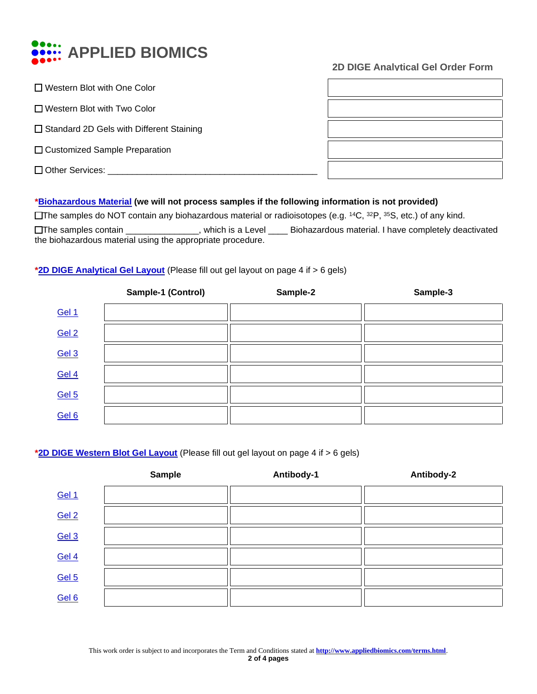

# **2D DIGE Analytical Gel Order Form**

| $\Box$ Western Blot with One Color              |  |
|-------------------------------------------------|--|
| □ Western Blot with Two Color                   |  |
| $\Box$ Standard 2D Gels with Different Staining |  |
| □ Customized Sample Preparation                 |  |
| $\Box$ Other Services:                          |  |
|                                                 |  |

# **\*Biohazardous Material (we will not process samples if the following information is not provided)**

❑The samples do NOT contain any biohazardous material or radioisotopes (e.g. <sup>14</sup>C, <sup>32</sup>P, <sup>35</sup>S, etc.) of any kind. ❑The samples contain \_\_\_\_\_\_\_\_\_\_\_\_\_\_\_, which is a Level \_\_\_\_ Biohazardous material. I have completely deactivated

the biohazardous material using the appropriate procedure.

## **\*2D DIGE Analytical Gel Layout** (Please fill out gel layout on page 4 if > 6 gels)

|                  | Sample-1 (Control) | Sample-2 | Sample-3 |
|------------------|--------------------|----------|----------|
| Gel 1            |                    |          |          |
| Gel 2            |                    |          |          |
| Gel 3            |                    |          |          |
| Gel 4            |                    |          |          |
| Gel <sub>5</sub> |                    |          |          |
| Gel 6            |                    |          |          |

## **\*2D DIGE Western Blot Gel Layout** (Please fill out gel layout on page 4 if > 6 gels)

|        | <b>Sample</b> | Antibody-1 | Antibody-2 |
|--------|---------------|------------|------------|
| Gel 1  |               |            |            |
| Gel 2  |               |            |            |
| Gel 3  |               |            |            |
| Gel 4  |               |            |            |
| $Ge15$ |               |            |            |
| Gel 6  |               |            |            |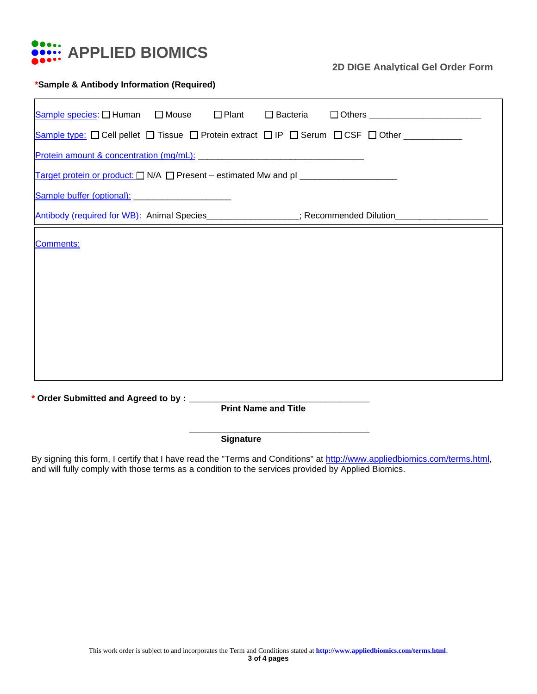

## **2D DIGE Analytical Gel Order Form**

## **\*Sample & Antibody Information (Required)**

| Sample species: I Human I Mouse I Plant I Bacteria I Others ____________________                                |  |  |  |  |
|-----------------------------------------------------------------------------------------------------------------|--|--|--|--|
| Sample type: □ Cell pellet □ Tissue □ Protein extract □ IP □ Serum □ CSF □ Other ___________                    |  |  |  |  |
| Protein amount & concentration (mg/mL): Manual Amore and Amore and Amore and Amore and Amore and Amore and Amor |  |  |  |  |
| Target protein or product: □ N/A □ Present - estimated Mw and pl _____________________                          |  |  |  |  |
| Sample buffer (optional): _________________________                                                             |  |  |  |  |
| Antibody (required for WB): Animal Species_________________; Recommended Dilution___________________            |  |  |  |  |
| Comments:                                                                                                       |  |  |  |  |
| <b>Print Name and Title</b>                                                                                     |  |  |  |  |

**Signature**

By signing this form, I certify that I have read the "Terms and Conditions" at [http://www.appliedbiomics.com/terms.html,](http://www.appliedbiomics.com/terms.html) and will fully comply with those terms as a condition to the services provided by Applied Biomics.

**\_\_\_\_\_\_\_\_\_\_\_\_\_\_\_\_\_\_\_\_\_\_\_\_\_\_\_\_\_\_\_\_\_\_\_\_\_**